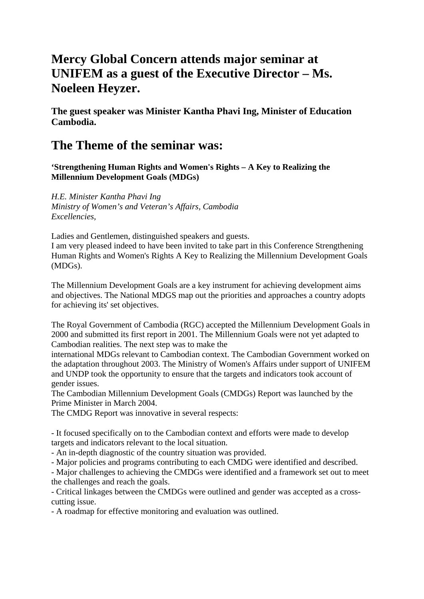## **Mercy Global Concern attends major seminar at UNIFEM as a guest of the Executive Director – Ms. Noeleen Heyzer.**

**The guest speaker was Minister Kantha Phavi Ing, Minister of Education Cambodia.** 

## **The Theme of the seminar was:**

**'Strengthening Human Rights and Women's Rights – A Key to Realizing the Millennium Development Goals (MDGs)** 

*H.E. Minister Kantha Phavi Ing Ministry of Women's and Veteran's Affairs, Cambodia Excellencies,* 

Ladies and Gentlemen, distinguished speakers and guests.

I am very pleased indeed to have been invited to take part in this Conference Strengthening Human Rights and Women's Rights A Key to Realizing the Millennium Development Goals (MDGs).

The Millennium Development Goals are a key instrument for achieving development aims and objectives. The National MDGS map out the priorities and approaches a country adopts for achieving its' set objectives.

The Royal Government of Cambodia (RGC) accepted the Millennium Development Goals in 2000 and submitted its first report in 2001. The Millennium Goals were not yet adapted to Cambodian realities. The next step was to make the

international MDGs relevant to Cambodian context. The Cambodian Government worked on the adaptation throughout 2003. The Ministry of Women's Affairs under support of UNIFEM and UNDP took the opportunity to ensure that the targets and indicators took account of gender issues.

The Cambodian Millennium Development Goals (CMDGs) Report was launched by the Prime Minister in March 2004.

The CMDG Report was innovative in several respects:

- It focused specifically on to the Cambodian context and efforts were made to develop targets and indicators relevant to the local situation.

- An in-depth diagnostic of the country situation was provided.

- Major policies and programs contributing to each CMDG were identified and described.

- Major challenges to achieving the CMDGs were identified and a framework set out to meet the challenges and reach the goals.

- Critical linkages between the CMDGs were outlined and gender was accepted as a crosscutting issue.

- A roadmap for effective monitoring and evaluation was outlined.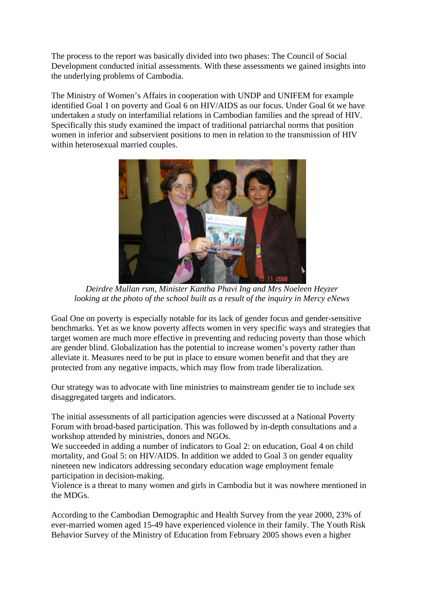The process to the report was basically divided into two phases: The Council of Social Development conducted initial assessments. With these assessments we gained insights into the underlying problems of Cambodia.

The Ministry of Women's Affairs in cooperation with UNDP and UNIFEM for example identified Goal 1 on poverty and Goal 6 on HIV/AIDS as our focus. Under Goal 6t we have undertaken a study on interfamilial relations in Cambodian families and the spread of HIV. Specifically this study examined the impact of traditional patriarchal norms that position women in inferior and subservient positions to men in relation to the transmission of HIV within heterosexual married couples.



*Deirdre Mullan rsm, Minister Kantha Phavi Ing and Mrs Noeleen Heyzer looking at the photo of the school built as a result of the inquiry in Mercy eNews*

Goal One on poverty is especially notable for its lack of gender focus and gender-sensitive benchmarks. Yet as we know poverty affects women in very specific ways and strategies that target women are much more effective in preventing and reducing poverty than those which are gender blind. Globalization has the potential to increase women's poverty rather than alleviate it. Measures need to be put in place to ensure women benefit and that they are protected from any negative impacts, which may flow from trade liberalization.

Our strategy was to advocate with line ministries to mainstream gender tie to include sex disaggregated targets and indicators.

The initial assessments of all participation agencies were discussed at a National Poverty Forum with broad-based participation. This was followed by in-depth consultations and a workshop attended by ministries, donors and NGOs.

We succeeded in adding a number of indicators to Goal 2: on education, Goal 4 on child mortality, and Goal 5: on HIV/AIDS. In addition we added to Goal 3 on gender equality nineteen new indicators addressing secondary education wage employment female participation in decision-making.

Violence is a threat to many women and girls in Cambodia but it was nowhere mentioned in the MDGs.

According to the Cambodian Demographic and Health Survey from the year 2000, 23% of ever-married women aged 15-49 have experienced violence in their family. The Youth Risk Behavior Survey of the Ministry of Education from February 2005 shows even a higher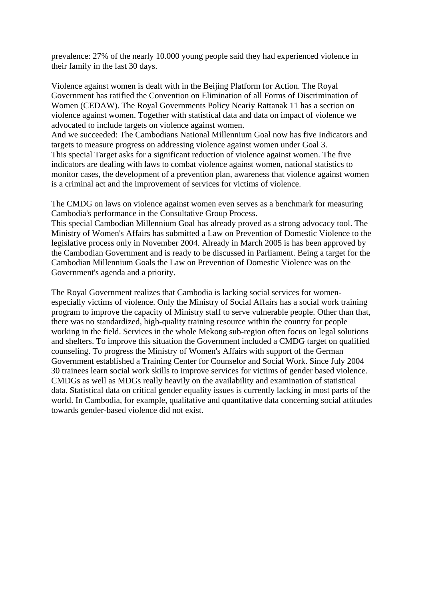prevalence: 27% of the nearly 10.000 young people said they had experienced violence in their family in the last 30 days.

Violence against women is dealt with in the Beijing Platform for Action. The Royal Government has ratified the Convention on Elimination of all Forms of Discrimination of Women (CEDAW). The Royal Governments Policy Neariy Rattanak 11 has a section on violence against women. Together with statistical data and data on impact of violence we advocated to include targets on violence against women.

And we succeeded: The Cambodians National Millennium Goal now has five Indicators and targets to measure progress on addressing violence against women under Goal 3. This special Target asks for a significant reduction of violence against women. The five indicators are dealing with laws to combat violence against women, national statistics to monitor cases, the development of a prevention plan, awareness that violence against women is a criminal act and the improvement of services for victims of violence.

The CMDG on laws on violence against women even serves as a benchmark for measuring Cambodia's performance in the Consultative Group Process.

This special Cambodian Millennium Goal has already proved as a strong advocacy tool. The Ministry of Women's Affairs has submitted a Law on Prevention of Domestic Violence to the legislative process only in November 2004. Already in March 2005 is has been approved by the Cambodian Government and is ready to be discussed in Parliament. Being a target for the Cambodian Millennium Goals the Law on Prevention of Domestic Violence was on the Government's agenda and a priority.

The Royal Government realizes that Cambodia is lacking social services for womenespecially victims of violence. Only the Ministry of Social Affairs has a social work training program to improve the capacity of Ministry staff to serve vulnerable people. Other than that, there was no standardized, high-quality training resource within the country for people working in the field. Services in the whole Mekong sub-region often focus on legal solutions and shelters. To improve this situation the Government included a CMDG target on qualified counseling. To progress the Ministry of Women's Affairs with support of the German Government established a Training Center for Counselor and Social Work. Since July 2004 30 trainees learn social work skills to improve services for victims of gender based violence. CMDGs as well as MDGs really heavily on the availability and examination of statistical data. Statistical data on critical gender equality issues is currently lacking in most parts of the world. In Cambodia, for example, qualitative and quantitative data concerning social attitudes towards gender-based violence did not exist.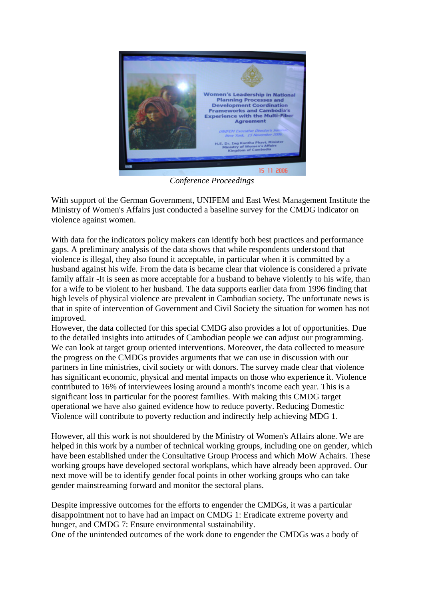

*Conference Proceedings* 

With support of the German Government, UNIFEM and East West Management Institute the Ministry of Women's Affairs just conducted a baseline survey for the CMDG indicator on violence against women.

With data for the indicators policy makers can identify both best practices and performance gaps. A preliminary analysis of the data shows that while respondents understood that violence is illegal, they also found it acceptable, in particular when it is committed by a husband against his wife. From the data is became clear that violence is considered a private family affair -It is seen as more acceptable for a husband to behave violently to his wife, than for a wife to be violent to her husband. The data supports earlier data from 1996 finding that high levels of physical violence are prevalent in Cambodian society. The unfortunate news is that in spite of intervention of Government and Civil Society the situation for women has not improved.

However, the data collected for this special CMDG also provides a lot of opportunities. Due to the detailed insights into attitudes of Cambodian people we can adjust our programming. We can look at target group oriented interventions. Moreover, the data collected to measure the progress on the CMDGs provides arguments that we can use in discussion with our partners in line ministries, civil society or with donors. The survey made clear that violence has significant economic, physical and mental impacts on those who experience it. Violence contributed to 16% of interviewees losing around a month's income each year. This is a significant loss in particular for the poorest families. With making this CMDG target operational we have also gained evidence how to reduce poverty. Reducing Domestic Violence will contribute to poverty reduction and indirectly help achieving MDG 1.

However, all this work is not shouldered by the Ministry of Women's Affairs alone. We are helped in this work by a number of technical working groups, including one on gender, which have been established under the Consultative Group Process and which MoW Achairs. These working groups have developed sectoral workplans, which have already been approved. Our next move will be to identify gender focal points in other working groups who can take gender mainstreaming forward and monitor the sectoral plans.

Despite impressive outcomes for the efforts to engender the CMDGs, it was a particular disappointment not to have had an impact on CMDG 1: Eradicate extreme poverty and hunger, and CMDG 7: Ensure environmental sustainability.

One of the unintended outcomes of the work done to engender the CMDGs was a body of